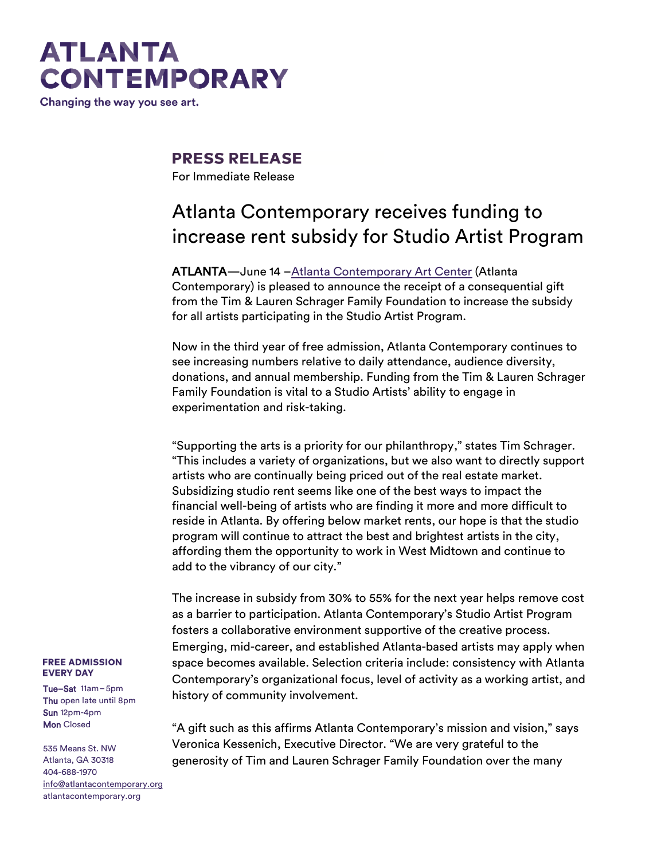## **ATLANTA CONTEMPORARY**

Changing the way you see art.

### **PRESS RELEASE**

For Immediate Release

### Atlanta Contemporary receives funding to increase rent subsidy for Studio Artist Program

ATLANTA—June 14 –[Atlanta Contemporary Art Center](http://atlantacontemporary.org/) (Atlanta Contemporary) is pleased to announce the receipt of a consequential gift from the Tim & Lauren Schrager Family Foundation to increase the subsidy for all artists participating in the Studio Artist Program.

Now in the third year of free admission, Atlanta Contemporary continues to see increasing numbers relative to daily attendance, audience diversity, donations, and annual membership. Funding from the Tim & Lauren Schrager Family Foundation is vital to a Studio Artists' ability to engage in experimentation and risk-taking.

"Supporting the arts is a priority for our philanthropy," states Tim Schrager. "This includes a variety of organizations, but we also want to directly support artists who are continually being priced out of the real estate market. Subsidizing studio rent seems like one of the best ways to impact the financial well-being of artists who are finding it more and more difficult to reside in Atlanta. By offering below market rents, our hope is that the studio program will continue to attract the best and brightest artists in the city, affording them the opportunity to work in West Midtown and continue to add to the vibrancy of our city."

The increase in subsidy from 30% to 55% for the next year helps remove cost as a barrier to participation. Atlanta Contemporary's Studio Artist Program fosters a collaborative environment supportive of the creative process. Emerging, mid-career, and established Atlanta-based artists may apply when space becomes available. Selection criteria include: consistency with Atlanta Contemporary's organizational focus, level of activity as a working artist, and history of community involvement.

"A gift such as this affirms Atlanta Contemporary's mission and vision," says Veronica Kessenich, Executive Director. "We are very grateful to the generosity of Tim and Lauren Schrager Family Foundation over the many

#### **FREE ADMISSION EVERY DAY**

Tue–Sat 11am–5pm Thu open late until 8pm Sun 12pm-4pm **Mon** Closed

535 Means St. NW Atlanta, GA 30318 404-688-1970 [info@atlantacontemporary.org](mailto:info@atlantacontemporary.org) atlantacontemporary.org